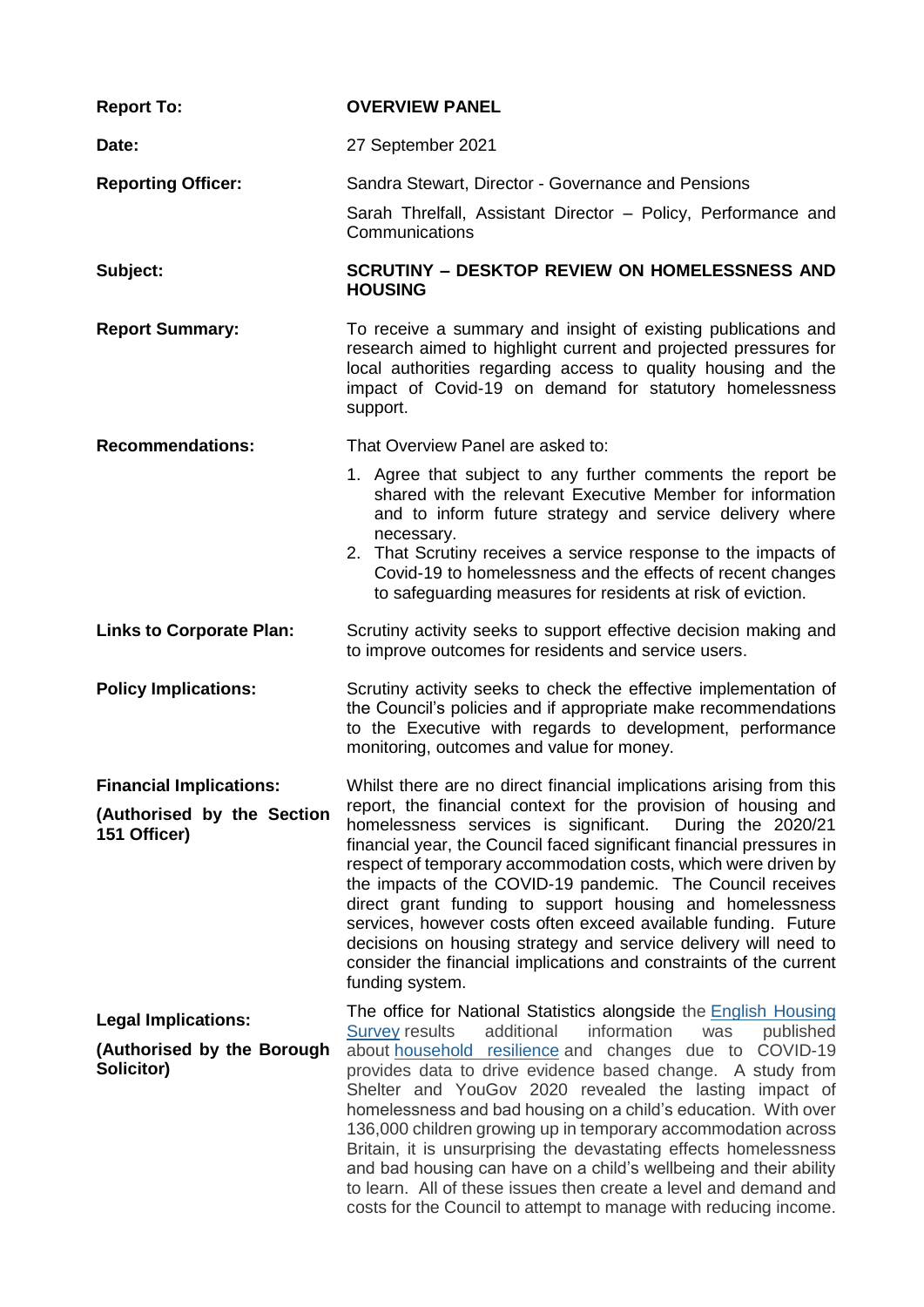| <b>Report To:</b>                                                            | <b>OVERVIEW PANEL</b>                                                                                                                                                                                                                                                                                                                                                                                                                                                                                                                                                                                                                                                                                                                            |
|------------------------------------------------------------------------------|--------------------------------------------------------------------------------------------------------------------------------------------------------------------------------------------------------------------------------------------------------------------------------------------------------------------------------------------------------------------------------------------------------------------------------------------------------------------------------------------------------------------------------------------------------------------------------------------------------------------------------------------------------------------------------------------------------------------------------------------------|
| Date:                                                                        | 27 September 2021                                                                                                                                                                                                                                                                                                                                                                                                                                                                                                                                                                                                                                                                                                                                |
| <b>Reporting Officer:</b>                                                    | Sandra Stewart, Director - Governance and Pensions<br>Sarah Threlfall, Assistant Director - Policy, Performance and<br>Communications                                                                                                                                                                                                                                                                                                                                                                                                                                                                                                                                                                                                            |
| Subject:                                                                     | <b>SCRUTINY - DESKTOP REVIEW ON HOMELESSNESS AND</b><br><b>HOUSING</b>                                                                                                                                                                                                                                                                                                                                                                                                                                                                                                                                                                                                                                                                           |
| <b>Report Summary:</b>                                                       | To receive a summary and insight of existing publications and<br>research aimed to highlight current and projected pressures for<br>local authorities regarding access to quality housing and the<br>impact of Covid-19 on demand for statutory homelessness<br>support.                                                                                                                                                                                                                                                                                                                                                                                                                                                                         |
| <b>Recommendations:</b>                                                      | That Overview Panel are asked to:                                                                                                                                                                                                                                                                                                                                                                                                                                                                                                                                                                                                                                                                                                                |
|                                                                              | 1. Agree that subject to any further comments the report be<br>shared with the relevant Executive Member for information<br>and to inform future strategy and service delivery where<br>necessary.<br>2. That Scrutiny receives a service response to the impacts of<br>Covid-19 to homelessness and the effects of recent changes<br>to safeguarding measures for residents at risk of eviction.                                                                                                                                                                                                                                                                                                                                                |
| <b>Links to Corporate Plan:</b>                                              | Scrutiny activity seeks to support effective decision making and<br>to improve outcomes for residents and service users.                                                                                                                                                                                                                                                                                                                                                                                                                                                                                                                                                                                                                         |
| <b>Policy Implications:</b>                                                  | Scrutiny activity seeks to check the effective implementation of<br>the Council's policies and if appropriate make recommendations<br>to the Executive with regards to development, performance<br>monitoring, outcomes and value for money.                                                                                                                                                                                                                                                                                                                                                                                                                                                                                                     |
| <b>Financial Implications:</b><br>(Authorised by the Section<br>151 Officer) | Whilst there are no direct financial implications arising from this<br>report, the financial context for the provision of housing and<br>homelessness services is significant.<br>During the 2020/21<br>financial year, the Council faced significant financial pressures in<br>respect of temporary accommodation costs, which were driven by<br>the impacts of the COVID-19 pandemic. The Council receives<br>direct grant funding to support housing and homelessness<br>services, however costs often exceed available funding. Future<br>decisions on housing strategy and service delivery will need to<br>consider the financial implications and constraints of the current<br>funding system.                                           |
| <b>Legal Implications:</b><br>(Authorised by the Borough<br>Solicitor)       | The office for National Statistics alongside the English Housing<br>additional<br>information<br><b>Survey results</b><br>published<br>was<br>about household resilience and changes due to COVID-19<br>provides data to drive evidence based change. A study from<br>Shelter and YouGov 2020 revealed the lasting impact of<br>homelessness and bad housing on a child's education. With over<br>136,000 children growing up in temporary accommodation across<br>Britain, it is unsurprising the devastating effects homelessness<br>and bad housing can have on a child's wellbeing and their ability<br>to learn. All of these issues then create a level and demand and<br>costs for the Council to attempt to manage with reducing income. |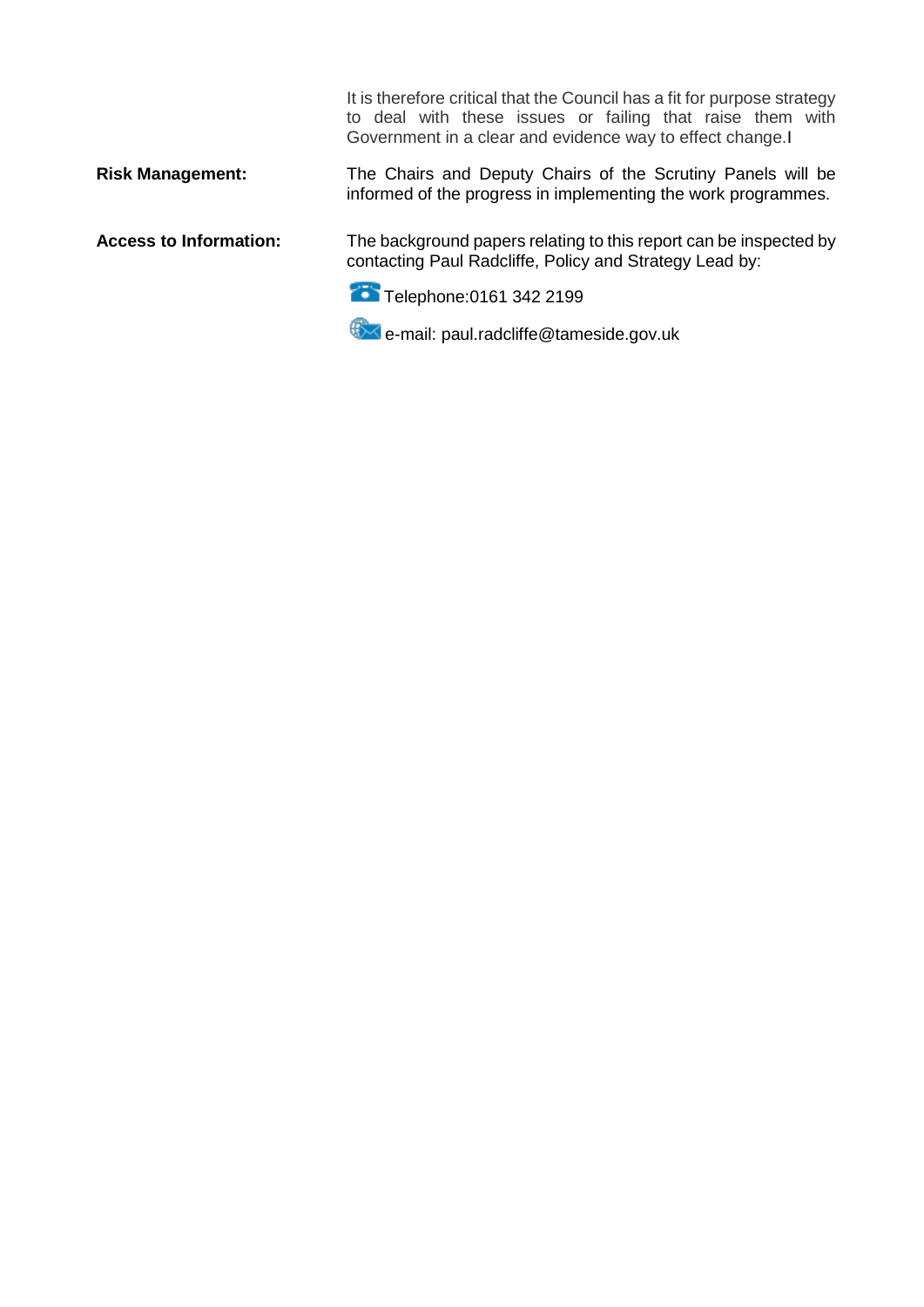It is therefore critical that the Council has a fit for purpose strategy to deal with these issues or failing that raise them with Government in a clear and evidence way to effect change.I

## **Risk Management:** The Chairs and Deputy Chairs of the Scrutiny Panels will be informed of the progress in implementing the work programmes.

**Access to Information:** The background papers relating to this report can be inspected by contacting Paul Radcliffe, Policy and Strategy Lead by:

Telephone: 0161 342 2199

e-mail: paul.radcliffe@tameside.gov.uk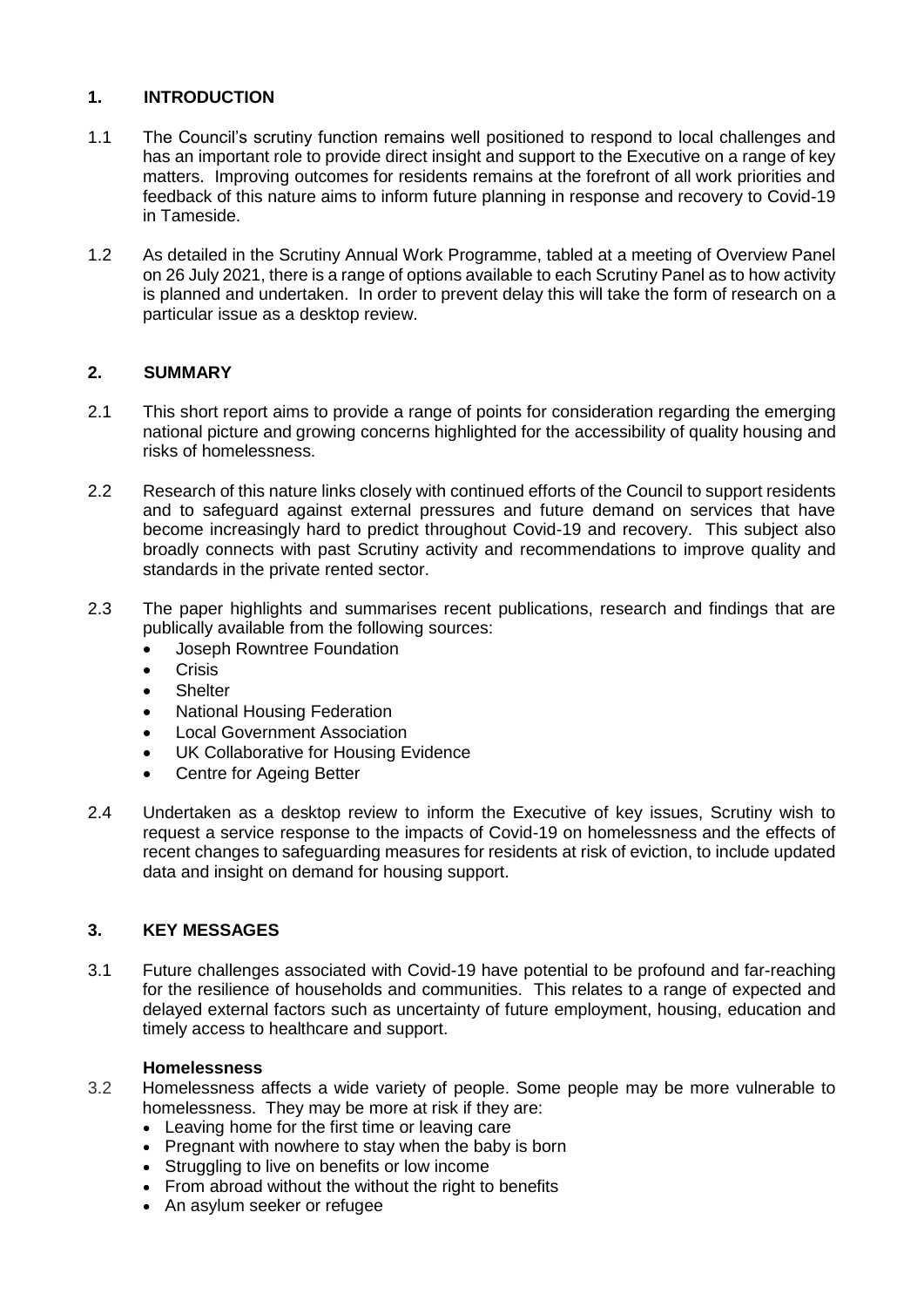# **1. INTRODUCTION**

- 1.1 The Council's scrutiny function remains well positioned to respond to local challenges and has an important role to provide direct insight and support to the Executive on a range of key matters. Improving outcomes for residents remains at the forefront of all work priorities and feedback of this nature aims to inform future planning in response and recovery to Covid-19 in Tameside.
- 1.2 As detailed in the Scrutiny Annual Work Programme, tabled at a meeting of Overview Panel on 26 July 2021, there is a range of options available to each Scrutiny Panel as to how activity is planned and undertaken. In order to prevent delay this will take the form of research on a particular issue as a desktop review.

# **2. SUMMARY**

- 2.1 This short report aims to provide a range of points for consideration regarding the emerging national picture and growing concerns highlighted for the accessibility of quality housing and risks of homelessness.
- 2.2 Research of this nature links closely with continued efforts of the Council to support residents and to safeguard against external pressures and future demand on services that have become increasingly hard to predict throughout Covid-19 and recovery. This subject also broadly connects with past Scrutiny activity and recommendations to improve quality and standards in the private rented sector.
- 2.3 The paper highlights and summarises recent publications, research and findings that are publically available from the following sources:
	- Joseph Rowntree Foundation
	- **Crisis**
	- **•** Shelter
	- National Housing Federation
	- Local Government Association
	- UK Collaborative for Housing Evidence
	- Centre for Ageing Better
- 2.4 Undertaken as a desktop review to inform the Executive of key issues, Scrutiny wish to request a service response to the impacts of Covid-19 on homelessness and the effects of recent changes to safeguarding measures for residents at risk of eviction, to include updated data and insight on demand for housing support.

# **3. KEY MESSAGES**

3.1 Future challenges associated with Covid-19 have potential to be profound and far-reaching for the resilience of households and communities. This relates to a range of expected and delayed external factors such as uncertainty of future employment, housing, education and timely access to healthcare and support.

### **Homelessness**

- 3.2 Homelessness affects a wide variety of people. Some people may be more vulnerable to homelessness. They may be more at risk if they are:
	- Leaving home for the first time or leaving care
	- Pregnant with nowhere to stay when the baby is born
	- Struggling to live on benefits or low income
	- From abroad without the without the right to benefits
	- An asylum seeker or refugee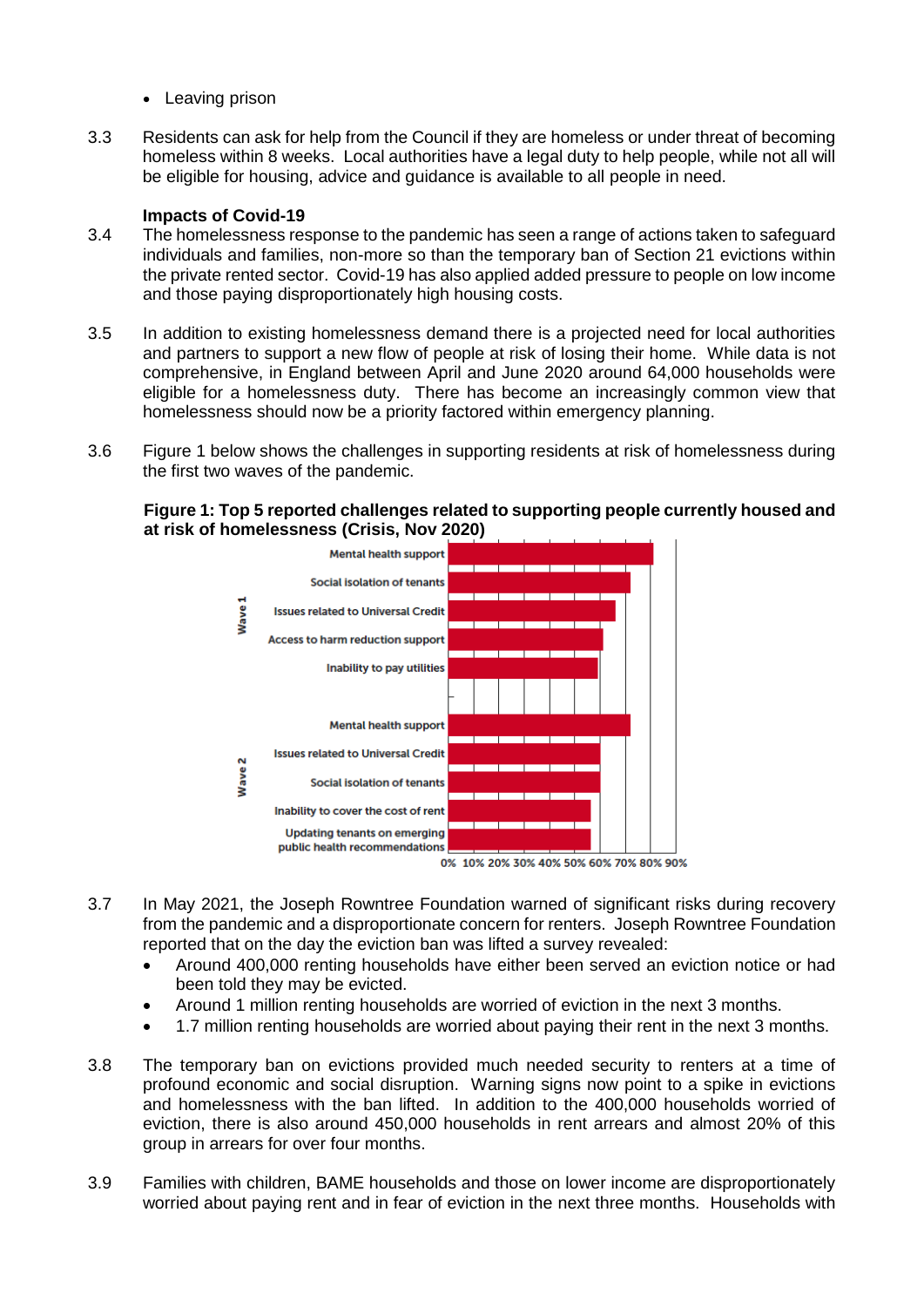- Leaving prison
- 3.3 Residents can ask for help from the Council if they are homeless or under threat of becoming homeless within 8 weeks. Local authorities have a legal duty to help people, while not all will be eligible for housing, advice and guidance is available to all people in need.

#### **Impacts of Covid-19**

- 3.4 The homelessness response to the pandemic has seen a range of actions taken to safeguard individuals and families, non-more so than the temporary ban of Section 21 evictions within the private rented sector. Covid-19 has also applied added pressure to people on low income and those paying disproportionately high housing costs.
- 3.5 In addition to existing homelessness demand there is a projected need for local authorities and partners to support a new flow of people at risk of losing their home. While data is not comprehensive, in England between April and June 2020 around 64,000 households were eligible for a homelessness duty. There has become an increasingly common view that homelessness should now be a priority factored within emergency planning.
- 3.6 Figure 1 below shows the challenges in supporting residents at risk of homelessness during the first two waves of the pandemic.

**Figure 1: Top 5 reported challenges related to supporting people currently housed and at risk of homelessness (Crisis, Nov 2020)**



- 3.7 In May 2021, the Joseph Rowntree Foundation warned of significant risks during recovery from the pandemic and a disproportionate concern for renters. Joseph Rowntree Foundation reported that on the day the eviction ban was lifted a survey revealed:
	- Around 400,000 renting households have either been served an eviction notice or had been told they may be evicted.
	- Around 1 million renting households are worried of eviction in the next 3 months.
	- 1.7 million renting households are worried about paying their rent in the next 3 months.
- 3.8 The temporary ban on evictions provided much needed security to renters at a time of profound economic and social disruption. Warning signs now point to a spike in evictions and homelessness with the ban lifted. In addition to the 400,000 households worried of eviction, there is also around 450,000 households in rent arrears and almost 20% of this group in arrears for over four months.
- 3.9 Families with children, BAME households and those on lower income are disproportionately worried about paying rent and in fear of eviction in the next three months. Households with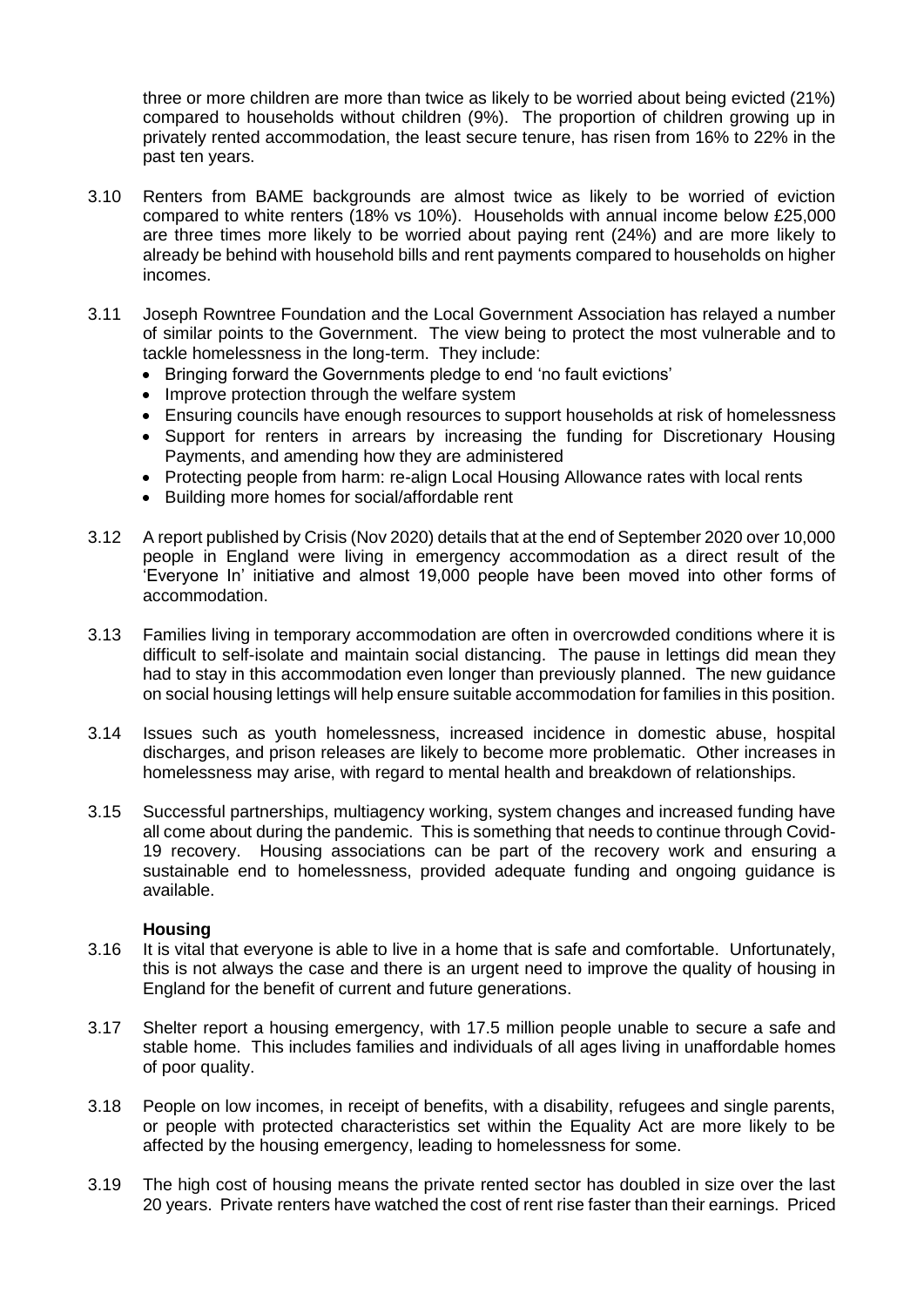three or more children are more than twice as likely to be worried about being evicted (21%) compared to households without children (9%). The proportion of children growing up in privately rented accommodation, the least secure tenure, has risen from 16% to 22% in the past ten years.

- 3.10 Renters from BAME backgrounds are almost twice as likely to be worried of eviction compared to white renters (18% vs 10%). Households with annual income below £25,000 are three times more likely to be worried about paying rent (24%) and are more likely to already be behind with household bills and rent payments compared to households on higher incomes.
- 3.11 Joseph Rowntree Foundation and the Local Government Association has relayed a number of similar points to the Government. The view being to protect the most vulnerable and to tackle homelessness in the long-term. They include:
	- Bringing forward the Governments pledge to end 'no fault evictions'
	- Improve protection through the welfare system
	- Ensuring councils have enough resources to support households at risk of homelessness
	- Support for renters in arrears by increasing the funding for Discretionary Housing Payments, and amending how they are administered
	- Protecting people from harm: re-align Local Housing Allowance rates with local rents
	- Building more homes for social/affordable rent
- 3.12 A report published by Crisis (Nov 2020) details that at the end of September 2020 over 10,000 people in England were living in emergency accommodation as a direct result of the 'Everyone In' initiative and almost 19,000 people have been moved into other forms of accommodation.
- 3.13 Families living in temporary accommodation are often in overcrowded conditions where it is difficult to self-isolate and maintain social distancing. The pause in lettings did mean they had to stay in this accommodation even longer than previously planned. The new guidance on social housing lettings will help ensure suitable accommodation for families in this position.
- 3.14 Issues such as youth homelessness, increased incidence in domestic abuse, hospital discharges, and prison releases are likely to become more problematic. Other increases in homelessness may arise, with regard to mental health and breakdown of relationships.
- 3.15 Successful partnerships, multiagency working, system changes and increased funding have all come about during the pandemic. This is something that needs to continue through Covid-19 recovery. Housing associations can be part of the recovery work and ensuring a sustainable end to homelessness, provided adequate funding and ongoing guidance is available.

#### **Housing**

- 3.16 It is vital that everyone is able to live in a home that is safe and comfortable. Unfortunately, this is not always the case and there is an urgent need to improve the quality of housing in England for the benefit of current and future generations.
- 3.17 Shelter report a housing emergency, with 17.5 million people unable to secure a safe and stable home. This includes families and individuals of all ages living in unaffordable homes of poor quality.
- 3.18 People on low incomes, in receipt of benefits, with a disability, refugees and single parents, or people with protected characteristics set within the Equality Act are more likely to be affected by the housing emergency, leading to homelessness for some.
- 3.19 The high cost of housing means the private rented sector has doubled in size over the last 20 years. Private renters have watched the cost of rent rise faster than their earnings. Priced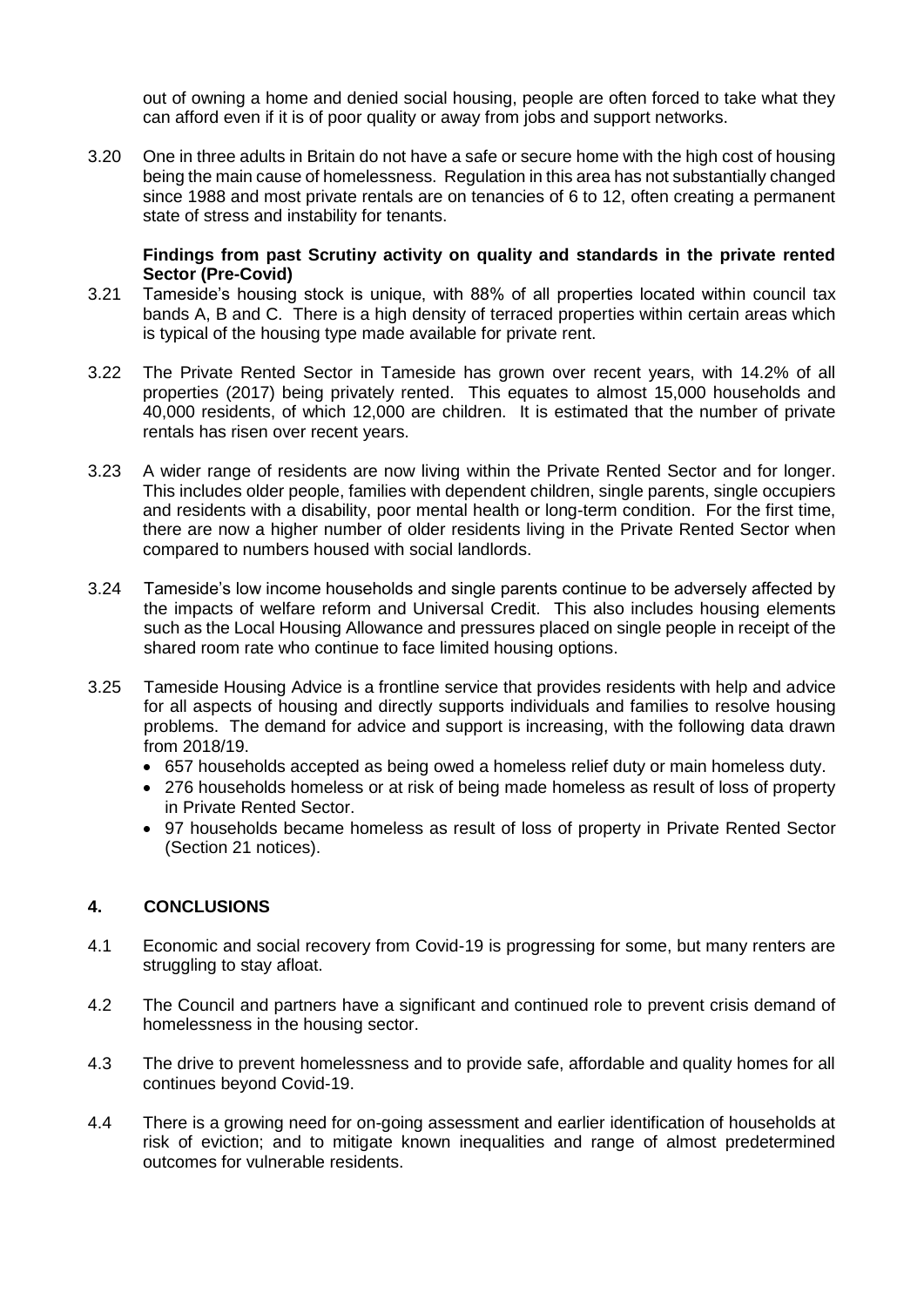out of owning a home and denied social housing, people are often forced to take what they can afford even if it is of poor quality or away from jobs and support networks.

3.20 One in three adults in Britain do not have a safe or secure home with the high cost of housing being the main cause of homelessness. Regulation in this area has not substantially changed since 1988 and most private rentals are on tenancies of 6 to 12, often creating a permanent state of stress and instability for tenants.

#### **Findings from past Scrutiny activity on quality and standards in the private rented Sector (Pre-Covid)**

- 3.21 Tameside's housing stock is unique, with 88% of all properties located within council tax bands A, B and C. There is a high density of terraced properties within certain areas which is typical of the housing type made available for private rent.
- 3.22 The Private Rented Sector in Tameside has grown over recent years, with 14.2% of all properties (2017) being privately rented. This equates to almost 15,000 households and 40,000 residents, of which 12,000 are children. It is estimated that the number of private rentals has risen over recent years.
- 3.23 A wider range of residents are now living within the Private Rented Sector and for longer. This includes older people, families with dependent children, single parents, single occupiers and residents with a disability, poor mental health or long-term condition. For the first time, there are now a higher number of older residents living in the Private Rented Sector when compared to numbers housed with social landlords.
- 3.24 Tameside's low income households and single parents continue to be adversely affected by the impacts of welfare reform and Universal Credit. This also includes housing elements such as the Local Housing Allowance and pressures placed on single people in receipt of the shared room rate who continue to face limited housing options.
- 3.25 Tameside Housing Advice is a frontline service that provides residents with help and advice for all aspects of housing and directly supports individuals and families to resolve housing problems. The demand for advice and support is increasing, with the following data drawn from 2018/19.
	- 657 households accepted as being owed a homeless relief duty or main homeless duty.
	- 276 households homeless or at risk of being made homeless as result of loss of property in Private Rented Sector.
	- 97 households became homeless as result of loss of property in Private Rented Sector (Section 21 notices).

## **4. CONCLUSIONS**

- 4.1 Economic and social recovery from Covid-19 is progressing for some, but many renters are struggling to stay afloat.
- 4.2 The Council and partners have a significant and continued role to prevent crisis demand of homelessness in the housing sector.
- 4.3 The drive to prevent homelessness and to provide safe, affordable and quality homes for all continues beyond Covid-19.
- 4.4 There is a growing need for on-going assessment and earlier identification of households at risk of eviction; and to mitigate known inequalities and range of almost predetermined outcomes for vulnerable residents.